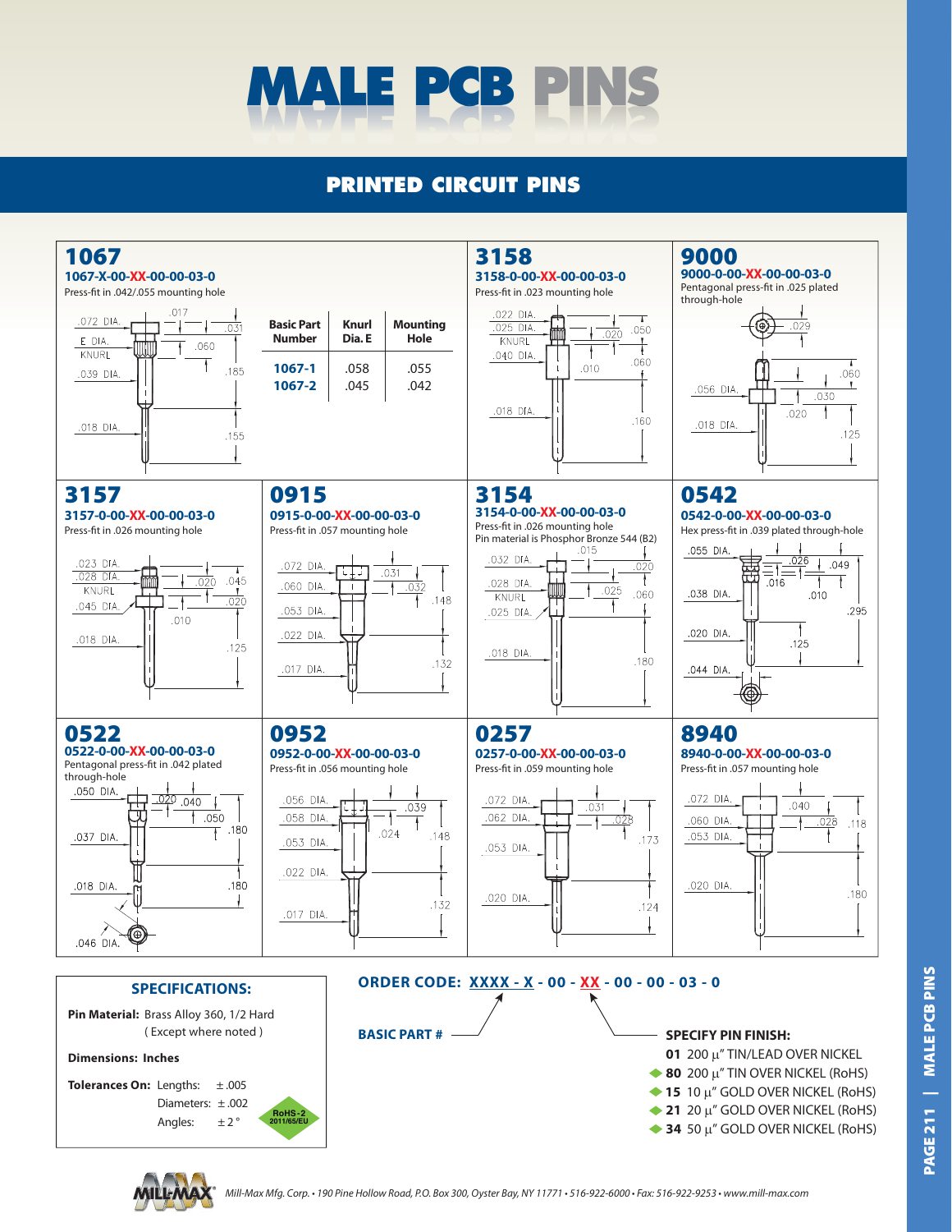

## **PRINTED CIRCUIT PINS**



Mill-Max Mfg. Corp. • 190 Pine Hollow Road, P.O. Box 300, Oyster Bay, NY 11771 • 516-922-6000 • Fax: 516-922-9253 • www.mill-max.com

**MALE PCB PINS PAGE 211 | MALE PCB PINS PAGE211**